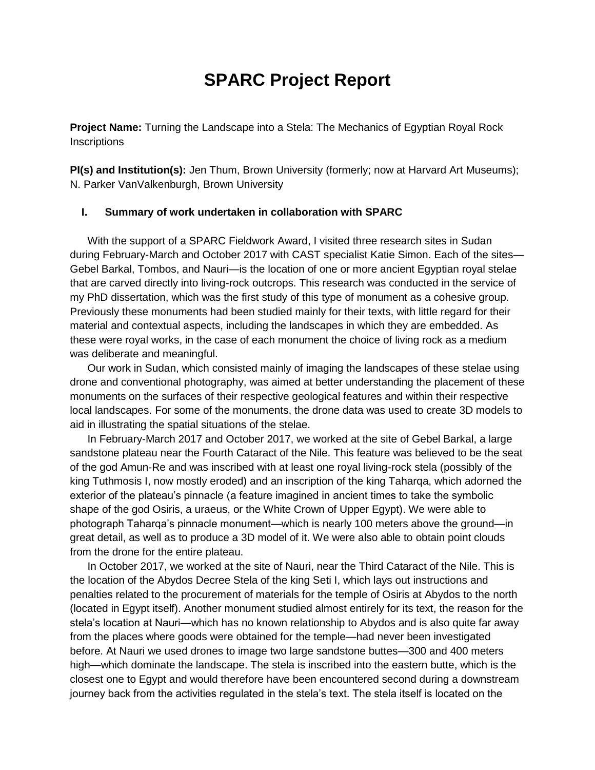## **SPARC Project Report**

**Project Name:** Turning the Landscape into a Stela: The Mechanics of Egyptian Royal Rock **Inscriptions** 

**PI(s) and Institution(s):** Jen Thum, Brown University (formerly; now at Harvard Art Museums); N. Parker VanValkenburgh, Brown University

## **I. Summary of work undertaken in collaboration with SPARC**

With the support of a SPARC Fieldwork Award, I visited three research sites in Sudan during February-March and October 2017 with CAST specialist Katie Simon. Each of the sites— Gebel Barkal, Tombos, and Nauri—is the location of one or more ancient Egyptian royal stelae that are carved directly into living-rock outcrops. This research was conducted in the service of my PhD dissertation, which was the first study of this type of monument as a cohesive group. Previously these monuments had been studied mainly for their texts, with little regard for their material and contextual aspects, including the landscapes in which they are embedded. As these were royal works, in the case of each monument the choice of living rock as a medium was deliberate and meaningful.

Our work in Sudan, which consisted mainly of imaging the landscapes of these stelae using drone and conventional photography, was aimed at better understanding the placement of these monuments on the surfaces of their respective geological features and within their respective local landscapes. For some of the monuments, the drone data was used to create 3D models to aid in illustrating the spatial situations of the stelae.

In February-March 2017 and October 2017, we worked at the site of Gebel Barkal, a large sandstone plateau near the Fourth Cataract of the Nile. This feature was believed to be the seat of the god Amun-Re and was inscribed with at least one royal living-rock stela (possibly of the king Tuthmosis I, now mostly eroded) and an inscription of the king Taharqa, which adorned the exterior of the plateau's pinnacle (a feature imagined in ancient times to take the symbolic shape of the god Osiris, a uraeus, or the White Crown of Upper Egypt). We were able to photograph Taharqa's pinnacle monument—which is nearly 100 meters above the ground—in great detail, as well as to produce a 3D model of it. We were also able to obtain point clouds from the drone for the entire plateau.

In October 2017, we worked at the site of Nauri, near the Third Cataract of the Nile. This is the location of the Abydos Decree Stela of the king Seti I, which lays out instructions and penalties related to the procurement of materials for the temple of Osiris at Abydos to the north (located in Egypt itself). Another monument studied almost entirely for its text, the reason for the stela's location at Nauri—which has no known relationship to Abydos and is also quite far away from the places where goods were obtained for the temple—had never been investigated before. At Nauri we used drones to image two large sandstone buttes—300 and 400 meters high—which dominate the landscape. The stela is inscribed into the eastern butte, which is the closest one to Egypt and would therefore have been encountered second during a downstream journey back from the activities regulated in the stela's text. The stela itself is located on the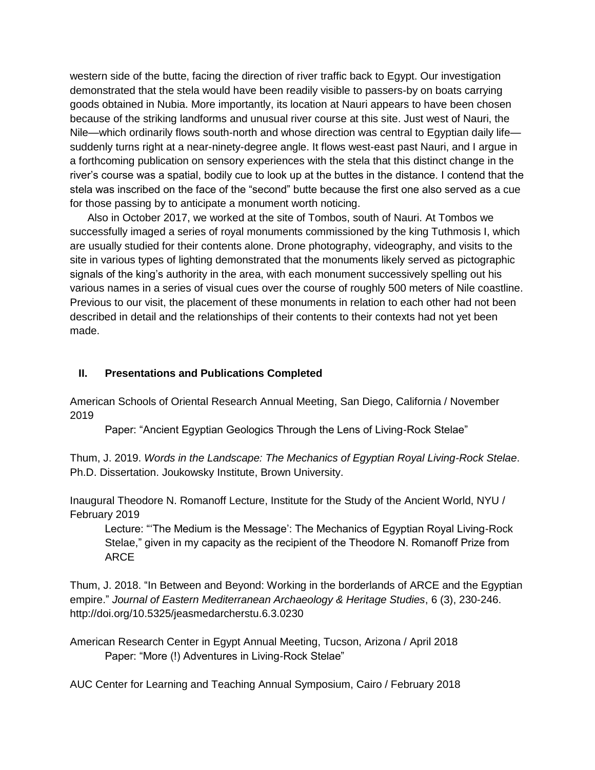western side of the butte, facing the direction of river traffic back to Egypt. Our investigation demonstrated that the stela would have been readily visible to passers-by on boats carrying goods obtained in Nubia. More importantly, its location at Nauri appears to have been chosen because of the striking landforms and unusual river course at this site. Just west of Nauri, the Nile—which ordinarily flows south-north and whose direction was central to Egyptian daily life suddenly turns right at a near-ninety-degree angle. It flows west-east past Nauri, and I argue in a forthcoming publication on sensory experiences with the stela that this distinct change in the river's course was a spatial, bodily cue to look up at the buttes in the distance. I contend that the stela was inscribed on the face of the "second" butte because the first one also served as a cue for those passing by to anticipate a monument worth noticing.

Also in October 2017, we worked at the site of Tombos, south of Nauri. At Tombos we successfully imaged a series of royal monuments commissioned by the king Tuthmosis I, which are usually studied for their contents alone. Drone photography, videography, and visits to the site in various types of lighting demonstrated that the monuments likely served as pictographic signals of the king's authority in the area, with each monument successively spelling out his various names in a series of visual cues over the course of roughly 500 meters of Nile coastline. Previous to our visit, the placement of these monuments in relation to each other had not been described in detail and the relationships of their contents to their contexts had not yet been made.

## **II. Presentations and Publications Completed**

American Schools of Oriental Research Annual Meeting, San Diego, California / November 2019

Paper: "Ancient Egyptian Geologics Through the Lens of Living-Rock Stelae"

Thum, J. 2019. *Words in the Landscape: The Mechanics of Egyptian Royal Living-Rock Stelae*. Ph.D. Dissertation. Joukowsky Institute, Brown University.

Inaugural Theodore N. Romanoff Lecture, Institute for the Study of the Ancient World, NYU / February 2019

Lecture: "'The Medium is the Message': The Mechanics of Egyptian Royal Living-Rock Stelae," given in my capacity as the recipient of the Theodore N. Romanoff Prize from ARCE

Thum, J. 2018. "In Between and Beyond: Working in the borderlands of ARCE and the Egyptian empire." *Journal of Eastern Mediterranean Archaeology & Heritage Studies*, 6 (3), 230-246. http://doi.org/10.5325/jeasmedarcherstu.6.3.0230

American Research Center in Egypt Annual Meeting, Tucson, Arizona / April 2018 Paper: "More (!) Adventures in Living-Rock Stelae"

AUC Center for Learning and Teaching Annual Symposium, Cairo / February 2018